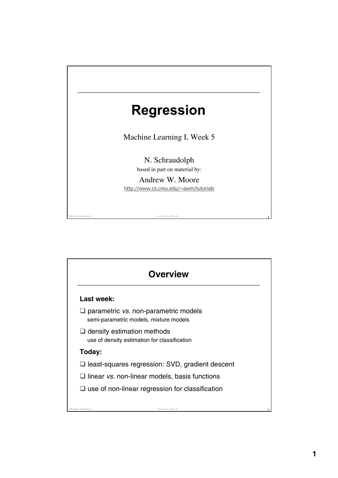

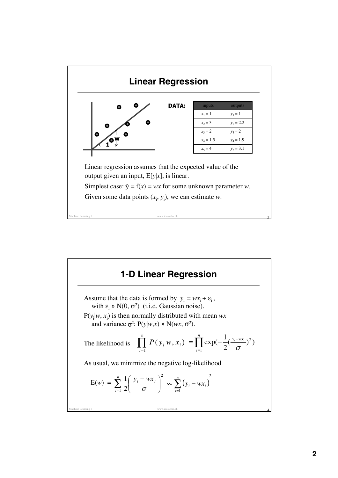

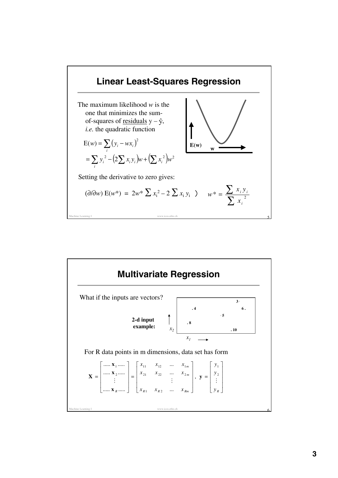

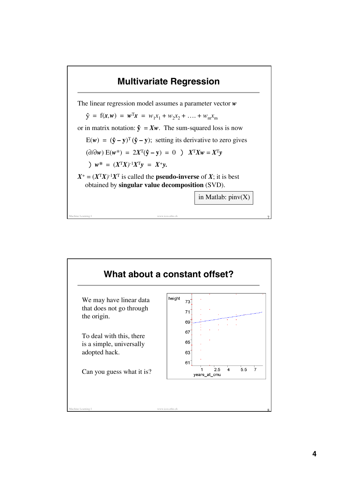## Machine Learning I www.icos.ethz.ch  $\overline{7}$ **Multivariate Regression** The linear regression model assumes a parameter vector *w*  $\hat{y} = f(x, w) = w^T x = w_1 x_1 + w_2 x_2 + \ldots + w_m x_m$ or in matrix notation:  $\hat{y} = Xw$ . The sum-squared loss is now  $E(w) = (\hat{y} - y)^T (\hat{y} - y)$ ; setting its derivative to zero gives  $(\partial/\partial w) E(w^*) = 2X^T(\hat{y} - y) = 0$  )  $X^T X w = X^T y$ )  $w^* = (X^T X)^{-1} X^T y = X^+ y$ .  $X^+ = (X^T X)^{-1} X^T$  is called the **pseudo-inverse** of *X*; it is best obtained by **singular value decomposition** (SVD). in Matlab:  $pinv(X)$

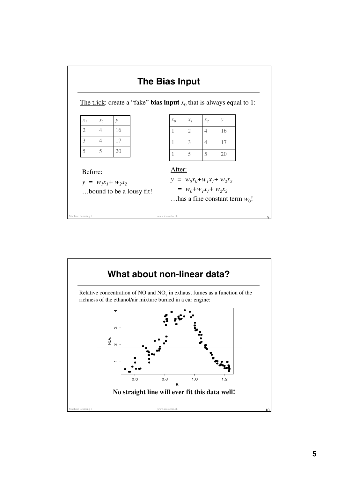

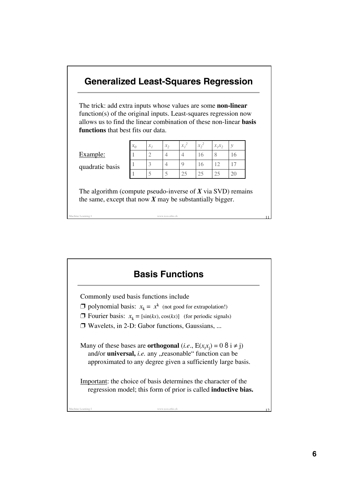

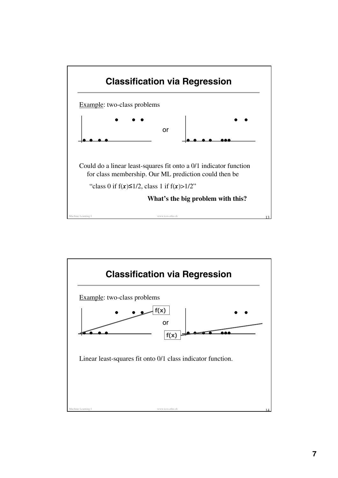

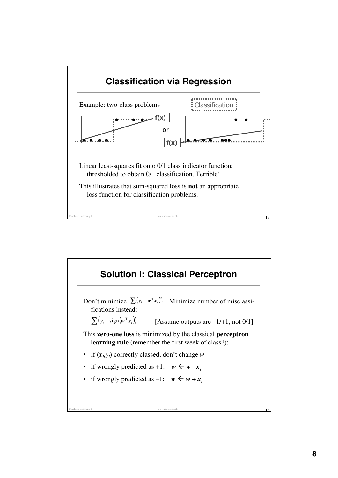

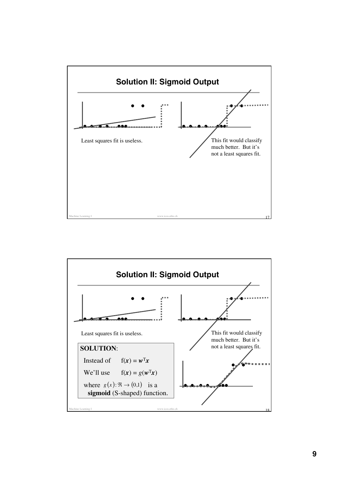

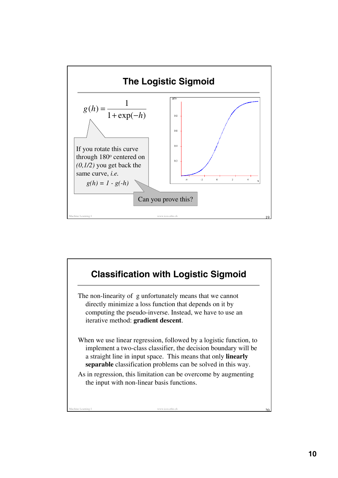

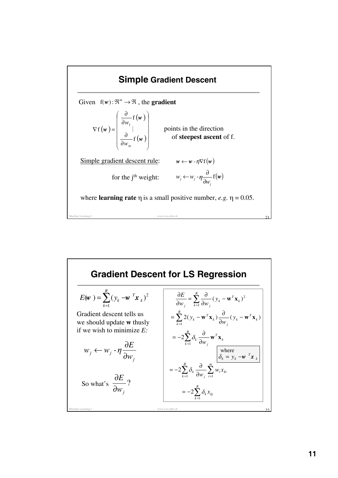